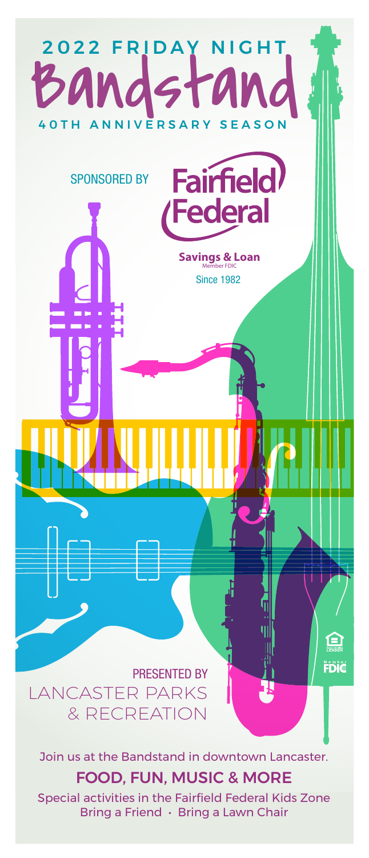

Join us at the Bandstand in downtown Lancaster.

## FOOD, FUN, MUSIC & MORE

Special activities in the Fairfield Federal Kids Zone Bring a Friend • Bring a Lawn Chair